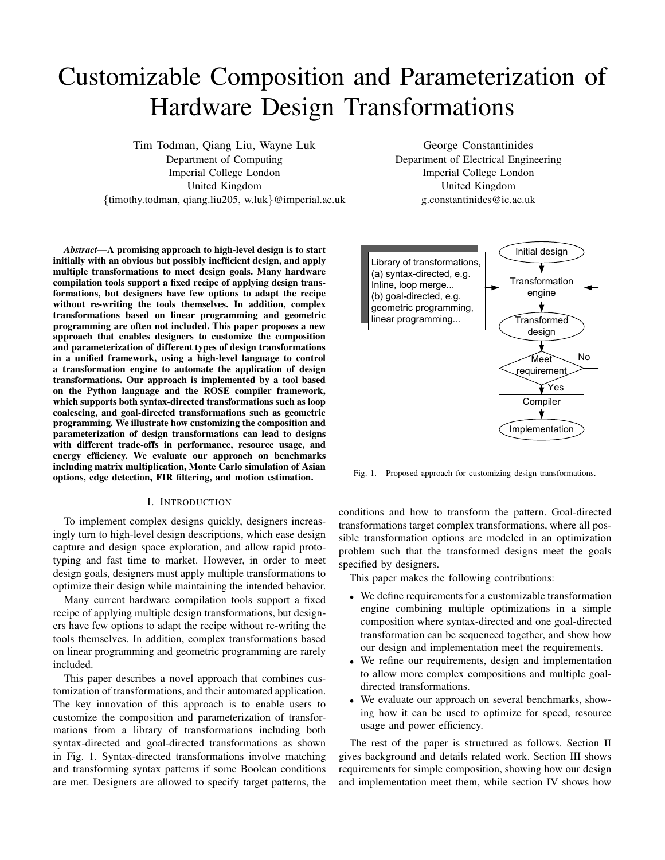# Customizable Composition and Parameterization of Hardware Design Transformations

Tim Todman, Qiang Liu, Wayne Luk Department of Computing Imperial College London United Kingdom {timothy.todman, qiang.liu205, w.luk}@imperial.ac.uk

George Constantinides Department of Electrical Engineering Imperial College London United Kingdom g.constantinides@ic.ac.uk

*Abstract***—A promising approach to high-level design is to start initially with an obvious but possibly inefficient design, and apply multiple transformations to meet design goals. Many hardware compilation tools support a fixed recipe of applying design transformations, but designers have few options to adapt the recipe without re-writing the tools themselves. In addition, complex transformations based on linear programming and geometric programming are often not included. This paper proposes a new approach that enables designers to customize the composition and parameterization of different types of design transformations in a unified framework, using a high-level language to control a transformation engine to automate the application of design transformations. Our approach is implemented by a tool based on the Python language and the ROSE compiler framework, which supports both syntax-directed transformations such as loop coalescing, and goal-directed transformations such as geometric programming. We illustrate how customizing the composition and parameterization of design transformations can lead to designs with different trade-offs in performance, resource usage, and energy efficiency. We evaluate our approach on benchmarks including matrix multiplication, Monte Carlo simulation of Asian options, edge detection, FIR filtering, and motion estimation.**

#### I. INTRODUCTION

To implement complex designs quickly, designers increasingly turn to high-level design descriptions, which ease design capture and design space exploration, and allow rapid prototyping and fast time to market. However, in order to meet design goals, designers must apply multiple transformations to optimize their design while maintaining the intended behavior.

Many current hardware compilation tools support a fixed recipe of applying multiple design transformations, but designers have few options to adapt the recipe without re-writing the tools themselves. In addition, complex transformations based on linear programming and geometric programming are rarely included.

This paper describes a novel approach that combines customization of transformations, and their automated application. The key innovation of this approach is to enable users to customize the composition and parameterization of transformations from a library of transformations including both syntax-directed and goal-directed transformations as shown in Fig. 1. Syntax-directed transformations involve matching and transforming syntax patterns if some Boolean conditions are met. Designers are allowed to specify target patterns, the



Fig. 1. Proposed approach for customizing design transformations.

conditions and how to transform the pattern. Goal-directed transformations target complex transformations, where all possible transformation options are modeled in an optimization problem such that the transformed designs meet the goals specified by designers.

This paper makes the following contributions:

- We define requirements for a customizable transformation engine combining multiple optimizations in a simple composition where syntax-directed and one goal-directed transformation can be sequenced together, and show how our design and implementation meet the requirements.
- We refine our requirements, design and implementation to allow more complex compositions and multiple goaldirected transformations.
- We evaluate our approach on several benchmarks, showing how it can be used to optimize for speed, resource usage and power efficiency.

The rest of the paper is structured as follows. Section II gives background and details related work. Section III shows requirements for simple composition, showing how our design and implementation meet them, while section IV shows how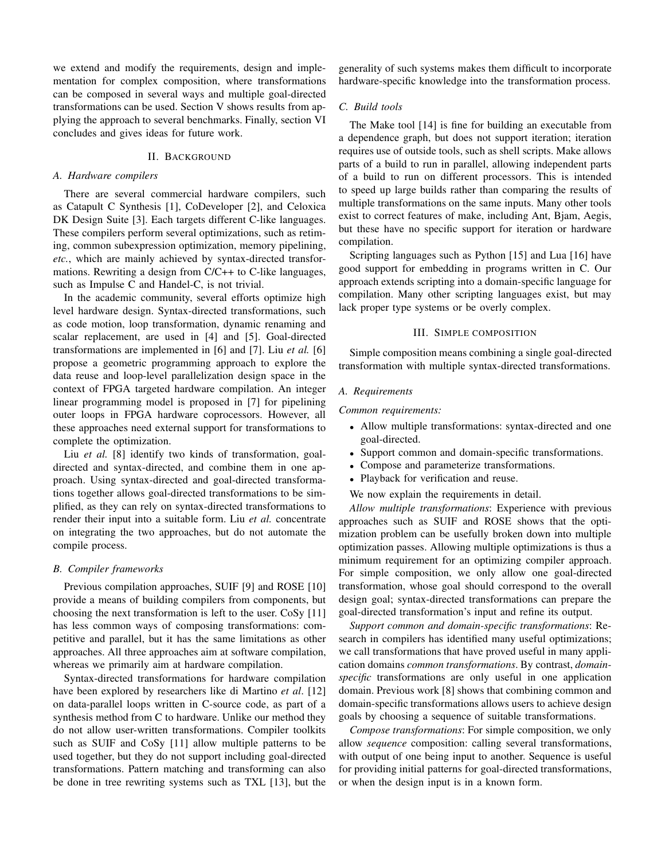we extend and modify the requirements, design and implementation for complex composition, where transformations can be composed in several ways and multiple goal-directed transformations can be used. Section V shows results from applying the approach to several benchmarks. Finally, section VI concludes and gives ideas for future work.

#### II. BACKGROUND

#### *A. Hardware compilers*

There are several commercial hardware compilers, such as Catapult C Synthesis [1], CoDeveloper [2], and Celoxica DK Design Suite [3]. Each targets different C-like languages. These compilers perform several optimizations, such as retiming, common subexpression optimization, memory pipelining, *etc.*, which are mainly achieved by syntax-directed transformations. Rewriting a design from C/C++ to C-like languages, such as Impulse C and Handel-C, is not trivial.

In the academic community, several efforts optimize high level hardware design. Syntax-directed transformations, such as code motion, loop transformation, dynamic renaming and scalar replacement, are used in [4] and [5]. Goal-directed transformations are implemented in [6] and [7]. Liu *et al.* [6] propose a geometric programming approach to explore the data reuse and loop-level parallelization design space in the context of FPGA targeted hardware compilation. An integer linear programming model is proposed in [7] for pipelining outer loops in FPGA hardware coprocessors. However, all these approaches need external support for transformations to complete the optimization.

Liu *et al.* [8] identify two kinds of transformation, goaldirected and syntax-directed, and combine them in one approach. Using syntax-directed and goal-directed transformations together allows goal-directed transformations to be simplified, as they can rely on syntax-directed transformations to render their input into a suitable form. Liu *et al.* concentrate on integrating the two approaches, but do not automate the compile process.

#### *B. Compiler frameworks*

Previous compilation approaches, SUIF [9] and ROSE [10] provide a means of building compilers from components, but choosing the next transformation is left to the user. CoSy [11] has less common ways of composing transformations: competitive and parallel, but it has the same limitations as other approaches. All three approaches aim at software compilation, whereas we primarily aim at hardware compilation.

Syntax-directed transformations for hardware compilation have been explored by researchers like di Martino *et al*. [12] on data-parallel loops written in C-source code, as part of a synthesis method from C to hardware. Unlike our method they do not allow user-written transformations. Compiler toolkits such as SUIF and CoSy [11] allow multiple patterns to be used together, but they do not support including goal-directed transformations. Pattern matching and transforming can also be done in tree rewriting systems such as TXL [13], but the

generality of such systems makes them difficult to incorporate hardware-specific knowledge into the transformation process.

#### *C. Build tools*

The Make tool [14] is fine for building an executable from a dependence graph, but does not support iteration; iteration requires use of outside tools, such as shell scripts. Make allows parts of a build to run in parallel, allowing independent parts of a build to run on different processors. This is intended to speed up large builds rather than comparing the results of multiple transformations on the same inputs. Many other tools exist to correct features of make, including Ant, Bjam, Aegis, but these have no specific support for iteration or hardware compilation.

Scripting languages such as Python [15] and Lua [16] have good support for embedding in programs written in C. Our approach extends scripting into a domain-specific language for compilation. Many other scripting languages exist, but may lack proper type systems or be overly complex.

#### III. SIMPLE COMPOSITION

Simple composition means combining a single goal-directed transformation with multiple syntax-directed transformations.

#### *A. Requirements*

*Common requirements:*

- Allow multiple transformations: syntax-directed and one goal-directed.
- Support common and domain-specific transformations.
- Compose and parameterize transformations.
- Playback for verification and reuse.

We now explain the requirements in detail.

*Allow multiple transformations*: Experience with previous approaches such as SUIF and ROSE shows that the optimization problem can be usefully broken down into multiple optimization passes. Allowing multiple optimizations is thus a minimum requirement for an optimizing compiler approach. For simple composition, we only allow one goal-directed transformation, whose goal should correspond to the overall design goal; syntax-directed transformations can prepare the goal-directed transformation's input and refine its output.

*Support common and domain-specific transformations*: Research in compilers has identified many useful optimizations; we call transformations that have proved useful in many application domains *common transformations*. By contrast, *domainspecific* transformations are only useful in one application domain. Previous work [8] shows that combining common and domain-specific transformations allows users to achieve design goals by choosing a sequence of suitable transformations.

*Compose transformations*: For simple composition, we only allow *sequence* composition: calling several transformations, with output of one being input to another. Sequence is useful for providing initial patterns for goal-directed transformations, or when the design input is in a known form.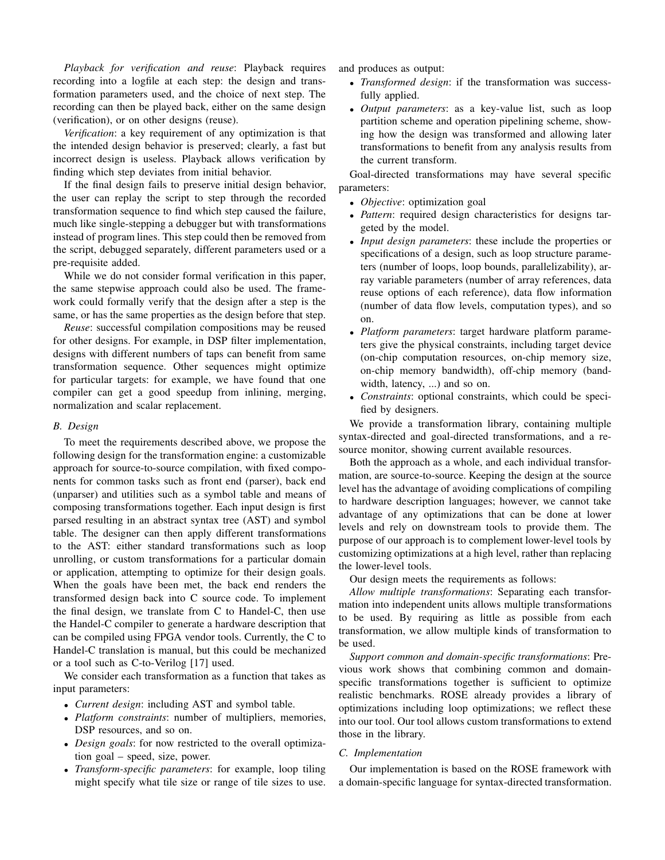*Playback for verification and reuse*: Playback requires recording into a logfile at each step: the design and transformation parameters used, and the choice of next step. The recording can then be played back, either on the same design (verification), or on other designs (reuse).

*Verification*: a key requirement of any optimization is that the intended design behavior is preserved; clearly, a fast but incorrect design is useless. Playback allows verification by finding which step deviates from initial behavior.

If the final design fails to preserve initial design behavior, the user can replay the script to step through the recorded transformation sequence to find which step caused the failure, much like single-stepping a debugger but with transformations instead of program lines. This step could then be removed from the script, debugged separately, different parameters used or a pre-requisite added.

While we do not consider formal verification in this paper, the same stepwise approach could also be used. The framework could formally verify that the design after a step is the same, or has the same properties as the design before that step.

*Reuse*: successful compilation compositions may be reused for other designs. For example, in DSP filter implementation, designs with different numbers of taps can benefit from same transformation sequence. Other sequences might optimize for particular targets: for example, we have found that one compiler can get a good speedup from inlining, merging, normalization and scalar replacement.

#### *B. Design*

To meet the requirements described above, we propose the following design for the transformation engine: a customizable approach for source-to-source compilation, with fixed components for common tasks such as front end (parser), back end (unparser) and utilities such as a symbol table and means of composing transformations together. Each input design is first parsed resulting in an abstract syntax tree (AST) and symbol table. The designer can then apply different transformations to the AST: either standard transformations such as loop unrolling, or custom transformations for a particular domain or application, attempting to optimize for their design goals. When the goals have been met, the back end renders the transformed design back into C source code. To implement the final design, we translate from C to Handel-C, then use the Handel-C compiler to generate a hardware description that can be compiled using FPGA vendor tools. Currently, the C to Handel-C translation is manual, but this could be mechanized or a tool such as C-to-Verilog [17] used.

We consider each transformation as a function that takes as input parameters:

- *Current design*: including AST and symbol table.
- *Platform constraints*: number of multipliers, memories, DSP resources, and so on.
- *Design goals*: for now restricted to the overall optimization goal – speed, size, power.
- *Transform-specific parameters*: for example, loop tiling might specify what tile size or range of tile sizes to use.

and produces as output:

- *Transformed design*: if the transformation was successfully applied.
- *Output parameters*: as a key-value list, such as loop partition scheme and operation pipelining scheme, showing how the design was transformed and allowing later transformations to benefit from any analysis results from the current transform.

Goal-directed transformations may have several specific parameters:

- *Objective*: optimization goal
- *Pattern*: required design characteristics for designs targeted by the model.
- *Input design parameters*: these include the properties or specifications of a design, such as loop structure parameters (number of loops, loop bounds, parallelizability), array variable parameters (number of array references, data reuse options of each reference), data flow information (number of data flow levels, computation types), and so on.
- *Platform parameters*: target hardware platform parameters give the physical constraints, including target device (on-chip computation resources, on-chip memory size, on-chip memory bandwidth), off-chip memory (bandwidth, latency, ...) and so on.
- *Constraints*: optional constraints, which could be specified by designers.

We provide a transformation library, containing multiple syntax-directed and goal-directed transformations, and a resource monitor, showing current available resources.

Both the approach as a whole, and each individual transformation, are source-to-source. Keeping the design at the source level has the advantage of avoiding complications of compiling to hardware description languages; however, we cannot take advantage of any optimizations that can be done at lower levels and rely on downstream tools to provide them. The purpose of our approach is to complement lower-level tools by customizing optimizations at a high level, rather than replacing the lower-level tools.

Our design meets the requirements as follows:

*Allow multiple transformations*: Separating each transformation into independent units allows multiple transformations to be used. By requiring as little as possible from each transformation, we allow multiple kinds of transformation to be used.

*Support common and domain-specific transformations*: Previous work shows that combining common and domainspecific transformations together is sufficient to optimize realistic benchmarks. ROSE already provides a library of optimizations including loop optimizations; we reflect these into our tool. Our tool allows custom transformations to extend those in the library.

#### *C. Implementation*

Our implementation is based on the ROSE framework with a domain-specific language for syntax-directed transformation.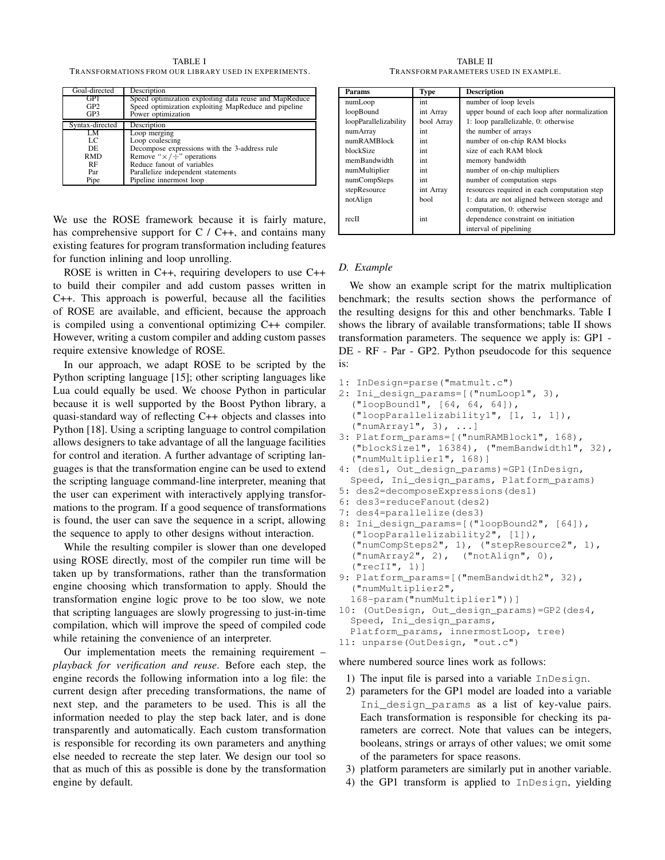TABLE I TRANSFORMATIONS FROM OUR LIBRARY USED IN EXPERIMENTS.

| Goal-directed   | Description                                            |  |  |  |
|-----------------|--------------------------------------------------------|--|--|--|
| GP1             | Speed optimization exploiting data reuse and MapReduce |  |  |  |
| GP <sub>2</sub> | Speed optimization exploiting MapReduce and pipeline   |  |  |  |
| GP <sub>3</sub> | Power optimization                                     |  |  |  |
| Syntax-directed | Description                                            |  |  |  |
| LM.             | Loop merging                                           |  |  |  |
| LC              | Loop coalescing                                        |  |  |  |
| DE              | Decompose expressions with the 3-address rule          |  |  |  |
| RMD             | Remove " $\times$ / $\div$ " operations                |  |  |  |
| RF              | Reduce fanout of variables                             |  |  |  |
| Par             | Parallelize independent statements                     |  |  |  |
| Pipe            | Pipeline innermost loop                                |  |  |  |

We use the ROSE framework because it is fairly mature, has comprehensive support for  $C / C$ ++, and contains many existing features for program transformation including features for function inlining and loop unrolling.

ROSE is written in C++, requiring developers to use C++ to build their compiler and add custom passes written in C++. This approach is powerful, because all the facilities of ROSE are available, and efficient, because the approach is compiled using a conventional optimizing C++ compiler. However, writing a custom compiler and adding custom passes require extensive knowledge of ROSE.

In our approach, we adapt ROSE to be scripted by the Python scripting language [15]; other scripting languages like Lua could equally be used. We choose Python in particular because it is well supported by the Boost Python library, a quasi-standard way of reflecting C++ objects and classes into Python [18]. Using a scripting language to control compilation allows designers to take advantage of all the language facilities for control and iteration. A further advantage of scripting languages is that the transformation engine can be used to extend the scripting language command-line interpreter, meaning that the user can experiment with interactively applying transformations to the program. If a good sequence of transformations is found, the user can save the sequence in a script, allowing the sequence to apply to other designs without interaction.

While the resulting compiler is slower than one developed using ROSE directly, most of the compiler run time will be taken up by transformations, rather than the transformation engine choosing which transformation to apply. Should the transformation engine logic prove to be too slow, we note that scripting languages are slowly progressing to just-in-time compilation, which will improve the speed of compiled code while retaining the convenience of an interpreter.

Our implementation meets the remaining requirement – *playback for verification and reuse*. Before each step, the engine records the following information into a log file: the current design after preceding transformations, the name of next step, and the parameters to be used. This is all the information needed to play the step back later, and is done transparently and automatically. Each custom transformation is responsible for recording its own parameters and anything else needed to recreate the step later. We design our tool so that as much of this as possible is done by the transformation engine by default.

TABLE II TRANSFORM PARAMETERS USED IN EXAMPLE.

| Params                | Type       | <b>Description</b>                           |  |  |  |
|-----------------------|------------|----------------------------------------------|--|--|--|
| numLoop               | int        | number of loop levels                        |  |  |  |
| loopBound             | int Array  | upper bound of each loop after normalization |  |  |  |
| loopParallelizability | bool Array | 1: loop parallelizable, 0: otherwise         |  |  |  |
| numArray              | int        | the number of arrays                         |  |  |  |
| numRAMBlock           | int        | number of on-chip RAM blocks                 |  |  |  |
| blockSize             | int        | size of each RAM block                       |  |  |  |
| memBandwidth          | int        | memory bandwidth                             |  |  |  |
| numMultiplier         | int        | number of on-chip multipliers                |  |  |  |
| numCompSteps          | int        | number of computation steps                  |  |  |  |
| stepResource          | int Array  | resources required in each computation step  |  |  |  |
| notAlign              | bool       | 1: data are not aligned between storage and  |  |  |  |
|                       |            | computation, 0: otherwise                    |  |  |  |
| recH                  | int        | dependence constraint on initiation          |  |  |  |
|                       |            | interval of pipelining                       |  |  |  |

#### *D. Example*

We show an example script for the matrix multiplication benchmark; the results section shows the performance of the resulting designs for this and other benchmarks. Table I shows the library of available transformations; table II shows transformation parameters. The sequence we apply is: GP1 - DE - RF - Par - GP2. Python pseudocode for this sequence is:

| 1: InDesign=parse("matmult.c") |  |
|--------------------------------|--|
|                                |  |

```
2: Ini_design_params=[("numLoop1", 3),
("loopBound1", [64, 64, 64]),
("loopParallelizability1", [1, 1, 1]),
("numArray1", 3), ...]
```
- 3: Platform\_params=[("numRAMBlock1", 168), ("blockSize1", 16384), ("memBandwidth1", 32), ("numMultiplier1", 168)]
- 4: (des1, Out\_design\_params)=GP1(InDesign, Speed, Ini\_design\_params, Platform\_params)
- 5: des2=decomposeExpressions(des1)
- 6: des3=reduceFanout(des2)
- 7: des4=parallelize(des3)

```
8: Ini_design_params=[("loopBound2", [64]),
("loopParallelizability2", [1]),
("numCompSteps2", 1), ("stepResource2", 1),
("numArray2", 2), ("notAlign", 0),
("recII", 1)]
```
9: Platform\_params=[("memBandwidth2", 32), ("numMultiplier2", 168-param("numMultiplier1"))]

```
10: (OutDesign, Out_design_params)=GP2(des4,
Speed, Ini_design_params,
```

```
Platform_params, innermostLoop, tree)
```

```
11: unparse(OutDesign, "out.c")
```
where numbered source lines work as follows:

- 1) The input file is parsed into a variable InDesign.
- 2) parameters for the GP1 model are loaded into a variable Ini\_design\_params as a list of key-value pairs. Each transformation is responsible for checking its parameters are correct. Note that values can be integers, booleans, strings or arrays of other values; we omit some of the parameters for space reasons.
- 3) platform parameters are similarly put in another variable.
- 4) the GP1 transform is applied to InDesign, yielding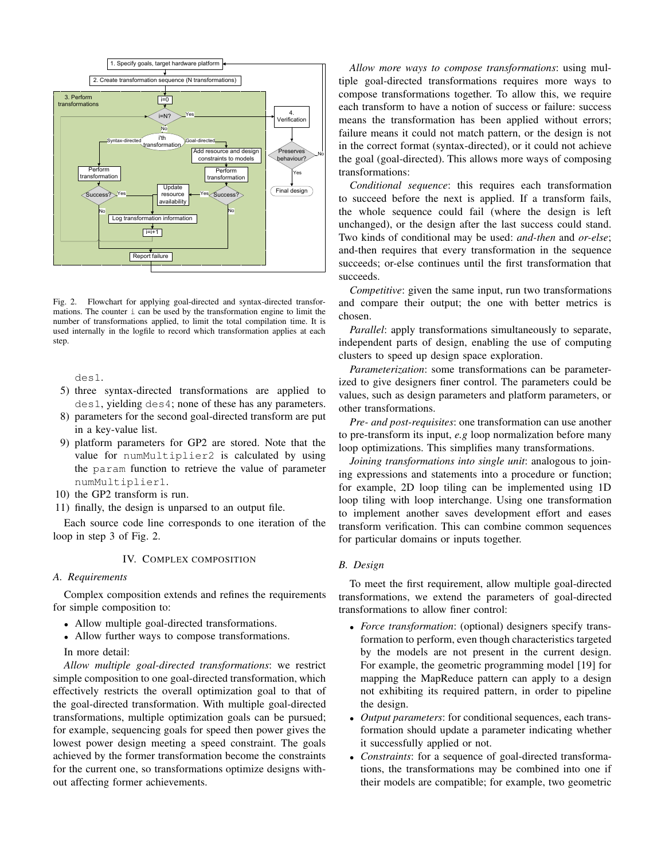

Fig. 2. Flowchart for applying goal-directed and syntax-directed transformations. The counter i can be used by the transformation engine to limit the number of transformations applied, to limit the total compilation time. It is used internally in the logfile to record which transformation applies at each step.

des1.

- 5) three syntax-directed transformations are applied to des1, yielding des4; none of these has any parameters.
- 8) parameters for the second goal-directed transform are put in a key-value list.
- 9) platform parameters for GP2 are stored. Note that the value for numMultiplier2 is calculated by using the param function to retrieve the value of parameter numMultiplier1.
- 10) the GP2 transform is run.
- 11) finally, the design is unparsed to an output file.

Each source code line corresponds to one iteration of the loop in step 3 of Fig. 2.

#### IV. COMPLEX COMPOSITION

#### *A. Requirements*

Complex composition extends and refines the requirements for simple composition to:

- Allow multiple goal-directed transformations.
- Allow further ways to compose transformations.

In more detail:

*Allow multiple goal-directed transformations*: we restrict simple composition to one goal-directed transformation, which effectively restricts the overall optimization goal to that of the goal-directed transformation. With multiple goal-directed transformations, multiple optimization goals can be pursued; for example, sequencing goals for speed then power gives the lowest power design meeting a speed constraint. The goals achieved by the former transformation become the constraints for the current one, so transformations optimize designs without affecting former achievements.

*Allow more ways to compose transformations*: using multiple goal-directed transformations requires more ways to compose transformations together. To allow this, we require each transform to have a notion of success or failure: success means the transformation has been applied without errors; failure means it could not match pattern, or the design is not in the correct format (syntax-directed), or it could not achieve the goal (goal-directed). This allows more ways of composing transformations:

*Conditional sequence*: this requires each transformation to succeed before the next is applied. If a transform fails, the whole sequence could fail (where the design is left unchanged), or the design after the last success could stand. Two kinds of conditional may be used: *and-then* and *or-else*; and-then requires that every transformation in the sequence succeeds; or-else continues until the first transformation that succeeds.

*Competitive*: given the same input, run two transformations and compare their output; the one with better metrics is chosen.

*Parallel*: apply transformations simultaneously to separate, independent parts of design, enabling the use of computing clusters to speed up design space exploration.

*Parameterization*: some transformations can be parameterized to give designers finer control. The parameters could be values, such as design parameters and platform parameters, or other transformations.

*Pre- and post-requisites*: one transformation can use another to pre-transform its input, *e.g* loop normalization before many loop optimizations. This simplifies many transformations.

*Joining transformations into single unit*: analogous to joining expressions and statements into a procedure or function; for example, 2D loop tiling can be implemented using 1D loop tiling with loop interchange. Using one transformation to implement another saves development effort and eases transform verification. This can combine common sequences for particular domains or inputs together.

#### *B. Design*

To meet the first requirement, allow multiple goal-directed transformations, we extend the parameters of goal-directed transformations to allow finer control:

- *Force transformation*: (optional) designers specify transformation to perform, even though characteristics targeted by the models are not present in the current design. For example, the geometric programming model [19] for mapping the MapReduce pattern can apply to a design not exhibiting its required pattern, in order to pipeline the design.
- *Output parameters*: for conditional sequences, each transformation should update a parameter indicating whether it successfully applied or not.
- *Constraints*: for a sequence of goal-directed transformations, the transformations may be combined into one if their models are compatible; for example, two geometric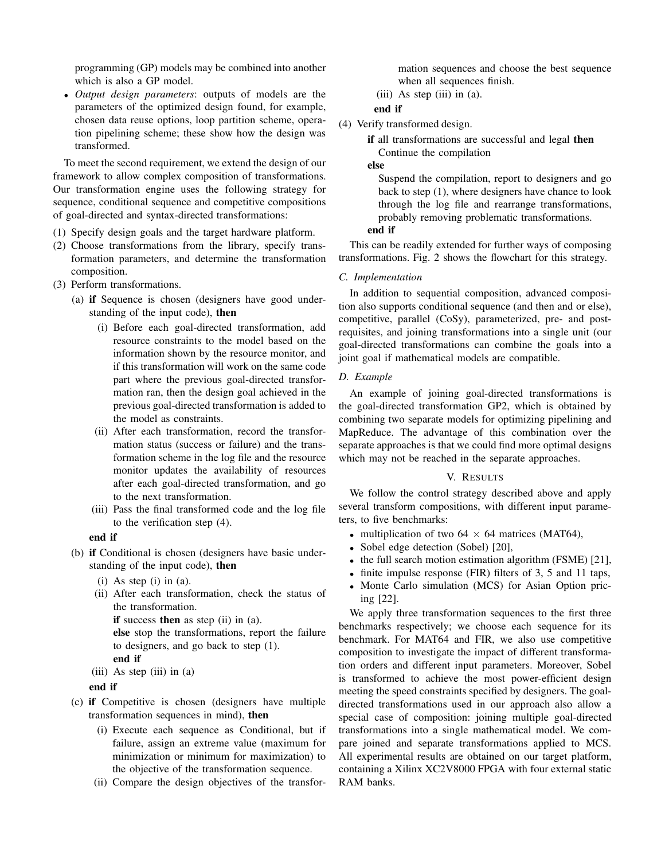programming (GP) models may be combined into another which is also a GP model.

• *Output design parameters*: outputs of models are the parameters of the optimized design found, for example, chosen data reuse options, loop partition scheme, operation pipelining scheme; these show how the design was transformed.

To meet the second requirement, we extend the design of our framework to allow complex composition of transformations. Our transformation engine uses the following strategy for sequence, conditional sequence and competitive compositions of goal-directed and syntax-directed transformations:

- (1) Specify design goals and the target hardware platform.
- (2) Choose transformations from the library, specify transformation parameters, and determine the transformation composition.
- (3) Perform transformations.
	- (a) **if** Sequence is chosen (designers have good understanding of the input code), **then**
		- (i) Before each goal-directed transformation, add resource constraints to the model based on the information shown by the resource monitor, and if this transformation will work on the same code part where the previous goal-directed transformation ran, then the design goal achieved in the previous goal-directed transformation is added to the model as constraints.
		- (ii) After each transformation, record the transformation status (success or failure) and the transformation scheme in the log file and the resource monitor updates the availability of resources after each goal-directed transformation, and go to the next transformation.
		- (iii) Pass the final transformed code and the log file to the verification step (4).

# **end if**

- (b) **if** Conditional is chosen (designers have basic understanding of the input code), **then**
	- $(i)$  As step  $(i)$  in  $(a)$ .
	- (ii) After each transformation, check the status of the transformation.

**if** success **then** as step (ii) in (a).

**else** stop the transformations, report the failure to designers, and go back to step (1).

- **end if**
- $(iii)$  As step  $(iii)$  in  $(a)$

# **end if**

- (c) **if** Competitive is chosen (designers have multiple transformation sequences in mind), **then**
	- (i) Execute each sequence as Conditional, but if failure, assign an extreme value (maximum for minimization or minimum for maximization) to the objective of the transformation sequence.
	- (ii) Compare the design objectives of the transfor-

mation sequences and choose the best sequence when all sequences finish.

(iii) As step (iii) in (a).

### **end if**

(4) Verify transformed design.

**if** all transformations are successful and legal **then** Continue the compilation

#### **else**

Suspend the compilation, report to designers and go back to step (1), where designers have chance to look through the log file and rearrange transformations, probably removing problematic transformations.

# **end if**

This can be readily extended for further ways of composing transformations. Fig. 2 shows the flowchart for this strategy.

# *C. Implementation*

In addition to sequential composition, advanced composition also supports conditional sequence (and then and or else), competitive, parallel (CoSy), parameterized, pre- and postrequisites, and joining transformations into a single unit (our goal-directed transformations can combine the goals into a joint goal if mathematical models are compatible.

# *D. Example*

An example of joining goal-directed transformations is the goal-directed transformation GP2, which is obtained by combining two separate models for optimizing pipelining and MapReduce. The advantage of this combination over the separate approaches is that we could find more optimal designs which may not be reached in the separate approaches.

## V. RESULTS

We follow the control strategy described above and apply several transform compositions, with different input parameters, to five benchmarks:

- multiplication of two  $64 \times 64$  matrices (MAT64),
- Sobel edge detection (Sobel) [20],
- the full search motion estimation algorithm (FSME) [21],
- finite impulse response (FIR) filters of 3, 5 and 11 taps,
- Monte Carlo simulation (MCS) for Asian Option pricing [22].

We apply three transformation sequences to the first three benchmarks respectively; we choose each sequence for its benchmark. For MAT64 and FIR, we also use competitive composition to investigate the impact of different transformation orders and different input parameters. Moreover, Sobel is transformed to achieve the most power-efficient design meeting the speed constraints specified by designers. The goaldirected transformations used in our approach also allow a special case of composition: joining multiple goal-directed transformations into a single mathematical model. We compare joined and separate transformations applied to MCS. All experimental results are obtained on our target platform, containing a Xilinx XC2V8000 FPGA with four external static RAM banks.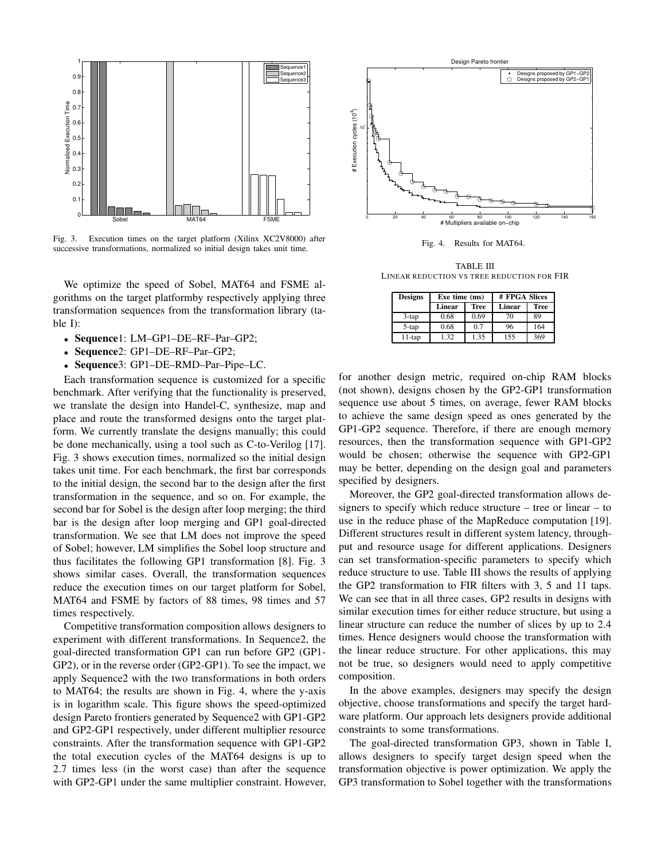

Fig. 3. Execution times on the target platform (Xilinx XC2V8000) after successive transformations, normalized so initial design takes unit time.

We optimize the speed of Sobel, MAT64 and FSME algorithms on the target platformby respectively applying three transformation sequences from the transformation library (table I):

- **Sequence**1: LM–GP1–DE–RF–Par–GP2;
- **Sequence**2: GP1–DE–RF–Par–GP2;
- **Sequence**3: GP1–DE–RMD–Par–Pipe–LC.

Each transformation sequence is customized for a specific benchmark. After verifying that the functionality is preserved, we translate the design into Handel-C, synthesize, map and place and route the transformed designs onto the target platform. We currently translate the designs manually; this could be done mechanically, using a tool such as C-to-Verilog [17]. Fig. 3 shows execution times, normalized so the initial design takes unit time. For each benchmark, the first bar corresponds to the initial design, the second bar to the design after the first transformation in the sequence, and so on. For example, the second bar for Sobel is the design after loop merging; the third bar is the design after loop merging and GP1 goal-directed transformation. We see that LM does not improve the speed of Sobel; however, LM simplifies the Sobel loop structure and thus facilitates the following GP1 transformation [8]. Fig. 3 shows similar cases. Overall, the transformation sequences reduce the execution times on our target platform for Sobel, MAT64 and FSME by factors of 88 times, 98 times and 57 times respectively.

Competitive transformation composition allows designers to experiment with different transformations. In Sequence2, the goal-directed transformation GP1 can run before GP2 (GP1- GP2), or in the reverse order (GP2-GP1). To see the impact, we apply Sequence2 with the two transformations in both orders to MAT64; the results are shown in Fig. 4, where the y-axis is in logarithm scale. This figure shows the speed-optimized design Pareto frontiers generated by Sequence2 with GP1-GP2 and GP2-GP1 respectively, under different multiplier resource constraints. After the transformation sequence with GP1-GP2 the total execution cycles of the MAT64 designs is up to 2.7 times less (in the worst case) than after the sequence with GP2-GP1 under the same multiplier constraint. However,



Fig. 4. Results for MAT64.

TABLE III LINEAR REDUCTION VS TREE REDUCTION FOR FIR

| <b>Designs</b> | Exe time (ms) |             | # FPGA Slices |             |
|----------------|---------------|-------------|---------------|-------------|
|                | Linear        | <b>Tree</b> | Linear        | <b>Tree</b> |
| $3$ -tap       | 0.68          | 0.69        | 70            | 89          |
| $5$ -tap       | 0.68          | 0.7         | 96            | 164         |
| 11-tap         | 1.32          | 1.35        | 155           | 369         |

for another design metric, required on-chip RAM blocks (not shown), designs chosen by the GP2-GP1 transformation sequence use about 5 times, on average, fewer RAM blocks to achieve the same design speed as ones generated by the GP1-GP2 sequence. Therefore, if there are enough memory resources, then the transformation sequence with GP1-GP2 would be chosen; otherwise the sequence with GP2-GP1 may be better, depending on the design goal and parameters specified by designers.

Moreover, the GP2 goal-directed transformation allows designers to specify which reduce structure – tree or linear – to use in the reduce phase of the MapReduce computation [19]. Different structures result in different system latency, throughput and resource usage for different applications. Designers can set transformation-specific parameters to specify which reduce structure to use. Table III shows the results of applying the GP2 transformation to FIR filters with 3, 5 and 11 taps. We can see that in all three cases, GP2 results in designs with similar execution times for either reduce structure, but using a linear structure can reduce the number of slices by up to 2.4 times. Hence designers would choose the transformation with the linear reduce structure. For other applications, this may not be true, so designers would need to apply competitive composition.

In the above examples, designers may specify the design objective, choose transformations and specify the target hardware platform. Our approach lets designers provide additional constraints to some transformations.

The goal-directed transformation GP3, shown in Table I, allows designers to specify target design speed when the transformation objective is power optimization. We apply the GP3 transformation to Sobel together with the transformations